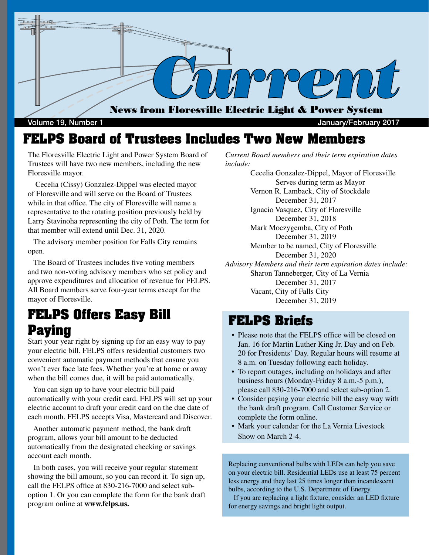

Volume 19, Number 1 **Volume 19, Number 1** According to the United States of the United States of the United States of the United States of the United States of the United States of the United States of the United States of

### **FELPS Board of Trustees Includes Two New Members**

The Floresville Electric Light and Power System Board of Trustees will have two new members, including the new Floresville mayor.

 Cecelia (Cissy) Gonzalez-Dippel was elected mayor of Floresville and will serve on the Board of Trustees while in that office. The city of Floresville will name a representative to the rotating position previously held by Larry Stavinoha representing the city of Poth. The term for that member will extend until Dec. 31, 2020.

 The advisory member position for Falls City remains open.

 The Board of Trustees includes five voting members and two non-voting advisory members who set policy and approve expenditures and allocation of revenue for FELPS. All Board members serve four-year terms except for the mayor of Floresville.

### **FELPS Offers Easy Bill Paying**

Start your year right by signing up for an easy way to pay your electric bill. FELPS offers residential customers two convenient automatic payment methods that ensure you won't ever face late fees. Whether you're at home or away when the bill comes due, it will be paid automatically.

 You can sign up to have your electric bill paid automatically with your credit card. FELPS will set up your electric account to draft your credit card on the due date of each month. FELPS accepts Visa, Mastercard and Discover.

 Another automatic payment method, the bank draft program, allows your bill amount to be deducted automatically from the designated checking or savings account each month.

 In both cases, you will receive your regular statement showing the bill amount, so you can record it. To sign up, call the FELPS office at 830-216-7000 and select suboption 1. Or you can complete the form for the bank draft program online at **www.felps.us.**

*Current Board members and their term expiration dates include:*

 Cecelia Gonzalez-Dippel, Mayor of Floresville Serves during term as Mayor Vernon R. Lamback, City of Stockdale December 31, 2017 Ignacio Vasquez, City of Floresville December 31, 2018 Mark Moczygemba, City of Poth December 31, 2019 Member to be named, City of Floresville December 31, 2020 *Advisory Members and their term expiration dates include:* Sharon Tanneberger, City of La Vernia December 31, 2017 Vacant, City of Falls City December 31, 2019

#### **FELPS Briefs**

- Please note that the FELPS office will be closed on Jan. 16 for Martin Luther King Jr. Day and on Feb. 20 for Presidents' Day. Regular hours will resume at 8 a.m. on Tuesday following each holiday.
- To report outages, including on holidays and after business hours (Monday-Friday 8 a.m.-5 p.m.), please call 830-216-7000 and select sub-option 2.
- Consider paying your electric bill the easy way with the bank draft program. Call Customer Service or complete the form online.
- Mark your calendar for the La Vernia Livestock Show on March 2-4.

Replacing conventional bulbs with LEDs can help you save on your electric bill. Residential LEDs use at least 75 percent less energy and they last 25 times longer than incandescent bulbs, according to the U.S. Department of Energy.

 If you are replacing a light fixture, consider an LED fixture for energy savings and bright light output.